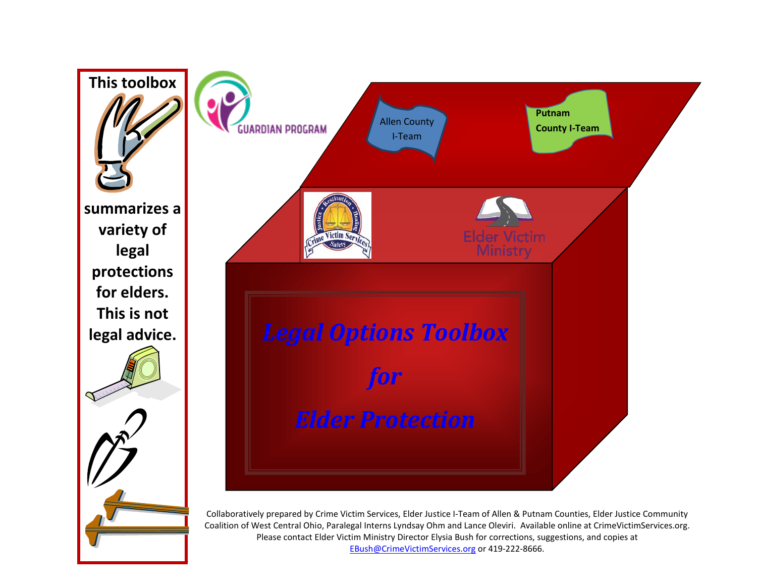

EBush@CrimeVictimServices.org or 419-222-8666.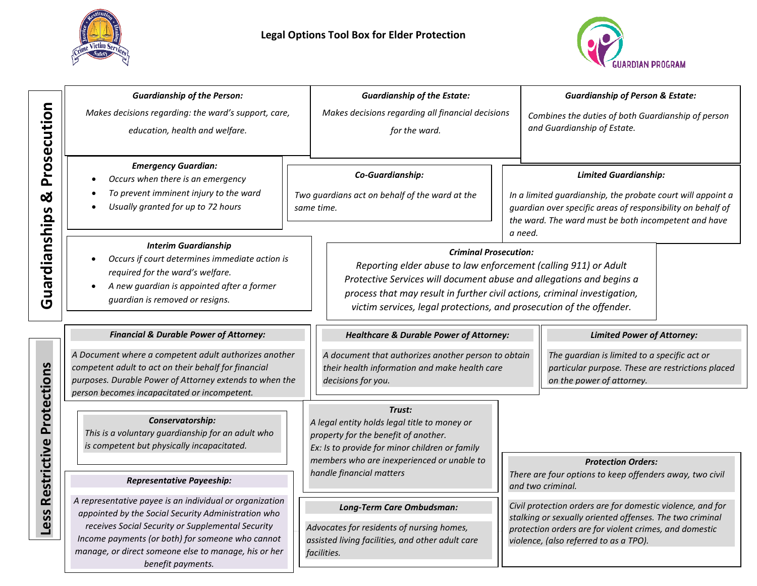



|                         | <b>Guardianship of the Person:</b>                                                                                                                                                                                                                                                                   |  | <b>Guardianship of the Estate:</b>                                                                                                                                                                                                                                                                                           |  |                                                                                                                                                                                                                               | <b>Guardianship of Person &amp; Estate:</b> |
|-------------------------|------------------------------------------------------------------------------------------------------------------------------------------------------------------------------------------------------------------------------------------------------------------------------------------------------|--|------------------------------------------------------------------------------------------------------------------------------------------------------------------------------------------------------------------------------------------------------------------------------------------------------------------------------|--|-------------------------------------------------------------------------------------------------------------------------------------------------------------------------------------------------------------------------------|---------------------------------------------|
| Prosecution             | Makes decisions regarding: the ward's support, care,<br>education, health and welfare.                                                                                                                                                                                                               |  | Makes decisions regarding all financial decisions<br>for the ward.                                                                                                                                                                                                                                                           |  | Combines the duties of both Guardianship of person<br>and Guardianship of Estate.                                                                                                                                             |                                             |
| ಡ                       | <b>Emergency Guardian:</b><br>Occurs when there is an emergency<br>To prevent imminent injury to the ward<br>Usually granted for up to 72 hours                                                                                                                                                      |  | Co-Guardianship:<br>Two guardians act on behalf of the ward at the<br>same time.                                                                                                                                                                                                                                             |  | <b>Limited Guardianship:</b><br>In a limited guardianship, the probate court will appoint a<br>guardian over specific areas of responsibility on behalf of<br>the ward. The ward must be both incompetent and have<br>a need. |                                             |
| Guardianships           | <b>Interim Guardianship</b><br>Occurs if court determines immediate action is<br>required for the ward's welfare.<br>A new guardian is appointed after a former<br>$\bullet$<br>guardian is removed or resigns.                                                                                      |  | <b>Criminal Prosecution:</b><br>Reporting elder abuse to law enforcement (calling 911) or Adult<br>Protective Services will document abuse and allegations and begins a<br>process that may result in further civil actions, criminal investigation,<br>victim services, legal protections, and prosecution of the offender. |  |                                                                                                                                                                                                                               |                                             |
|                         | <b>Financial &amp; Durable Power of Attorney:</b>                                                                                                                                                                                                                                                    |  | <b>Healthcare &amp; Durable Power of Attorney:</b>                                                                                                                                                                                                                                                                           |  |                                                                                                                                                                                                                               | <b>Limited Power of Attorney:</b>           |
| Restrictive Protections | A Document where a competent adult authorizes another<br>competent adult to act on their behalf for financial<br>purposes. Durable Power of Attorney extends to when the<br>person becomes incapacitated or incompetent.                                                                             |  | A document that authorizes another person to obtain<br>their health information and make health care<br>decisions for you.<br>on the power of attorney.                                                                                                                                                                      |  | The guardian is limited to a specific act or<br>particular purpose. These are restrictions placed                                                                                                                             |                                             |
|                         | Conservatorship:<br>This is a voluntary guardianship for an adult who<br>is competent but physically incapacitated.                                                                                                                                                                                  |  | Trust:<br>A legal entity holds legal title to money or<br>property for the benefit of another.<br>Ex: Is to provide for minor children or family<br>members who are inexperienced or unable to<br>handle financial matters                                                                                                   |  |                                                                                                                                                                                                                               | <b>Protection Orders:</b>                   |
|                         | <b>Representative Payeeship:</b>                                                                                                                                                                                                                                                                     |  |                                                                                                                                                                                                                                                                                                                              |  | There are four options to keep offenders away, two civil<br>and two criminal.                                                                                                                                                 |                                             |
| <b>Less</b>             | A representative payee is an individual or organization<br>appointed by the Social Security Administration who<br>receives Social Security or Supplemental Security<br>Income payments (or both) for someone who cannot<br>manage, or direct someone else to manage, his or her<br>benefit payments. |  | Long-Term Care Ombudsman:<br>Advocates for residents of nursing homes,<br>assisted living facilities, and other adult care<br>facilities.                                                                                                                                                                                    |  | Civil protection orders are for domestic violence, and for<br>stalking or sexually oriented offenses. The two criminal<br>protection orders are for violent crimes, and domestic<br>violence, (also referred to as a TPO).    |                                             |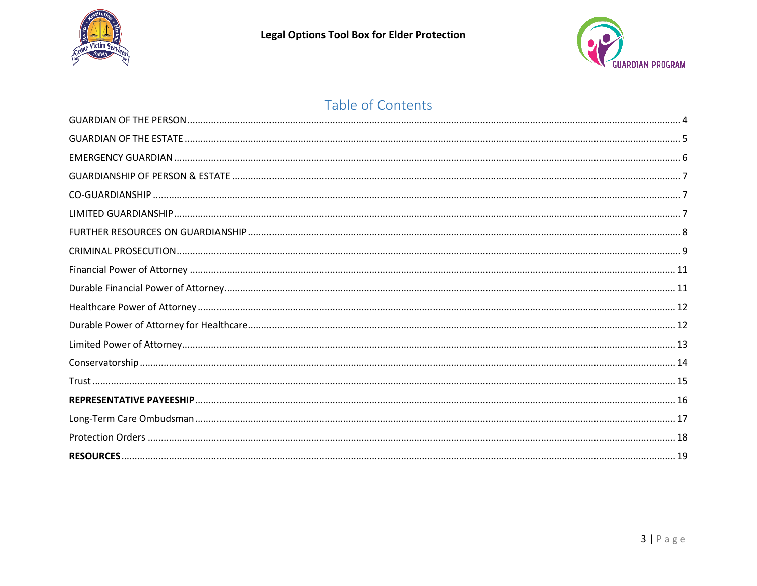



## Table of Contents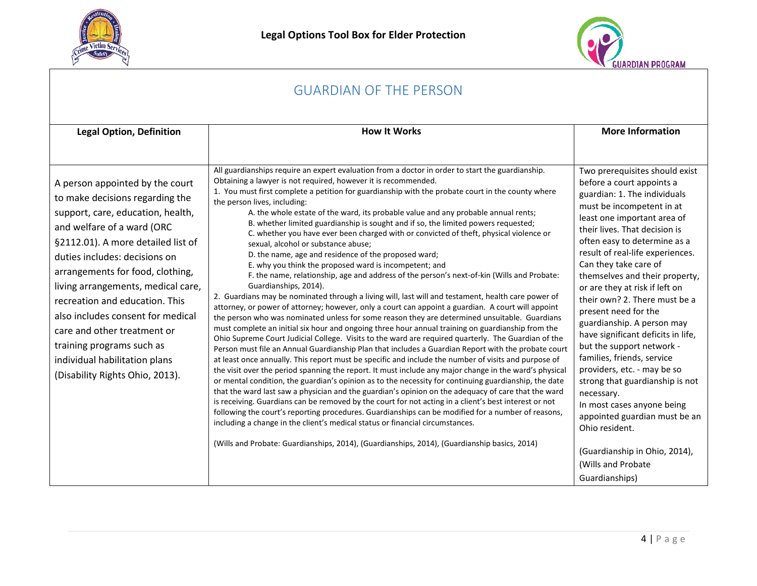



#### <span id="page-3-0"></span>GUARDIAN OF THE PERSON **Legal Option, Definition How It Works How It Works More Information** A person appointed by the court to make decisions regarding the support, care, education, health, and welfare of a ward (ORC §2112.01). A more detailed list of duties includes: decisions on arrangements for food, clothing, living arrangements, medical care, recreation and education. This also includes consent for medical care and other treatment or training programs such as individual habilitation plans (Disability Rights Ohio, 2013). All guardianships require an expert evaluation from a doctor in order to start the guardianship. Obtaining a lawyer is not required, however it is recommended. 1. You must first complete a petition for guardianship with the probate court in the county where the person lives, including: A. the whole estate of the ward, its probable value and any probable annual rents; B. whether limited guardianship is sought and if so, the limited powers requested; C. whether you have ever been charged with or convicted of theft, physical violence or sexual, alcohol or substance abuse; D. the name, age and residence of the proposed ward; E. why you think the proposed ward is incompetent; and F. the name, relationship, age and address of the person's next-of-kin (Wills and Probate: Guardianships, 2014). 2. Guardians may be nominated through a living will, last will and testament, health care power of attorney, or power of attorney; however, only a court can appoint a guardian. A court will appoint the person who was nominated unless for some reason they are determined unsuitable. Guardians must complete an initial six hour and ongoing three hour annual training on guardianship from the Ohio Supreme Court Judicial College. Visits to the ward are required quarterly. The Guardian of the Person must file an Annual Guardianship Plan that includes a Guardian Report with the probate court at least once annually. This report must be specific and include the number of visits and purpose of the visit over the period spanning the report. It must include any major change in the ward's physical or mental condition, the guardian's opinion as to the necessity for continuing guardianship, the date that the ward last saw a physician and the guardian's opinion on the adequacy of care that the ward is receiving. Guardians can be removed by the court for not acting in a client's best interest or not following the court's reporting procedures. Guardianships can be modified for a number of reasons, including a change in the client's medical status or financial circumstances. (Wills and Probate: Guardianships, 2014), (Guardianships, 2014), (Guardianship basics, 2014) Two prerequisites should exist before a court appoints a guardian: 1. The individuals must be incompetent in at least one important area of their lives. That decision is often easy to determine as a result of real-life experiences. Can they take care of themselves and their property, or are they at risk if left on their own? 2. There must be a present need for the guardianship. A person may have significant deficits in life, but the support network families, friends, service providers, etc. - may be so strong that guardianship is not necessary. In most cases anyone being appointed guardian must be an Ohio resident. (Guardianship in Ohio, 2014), (Wills and Probate Guardianships)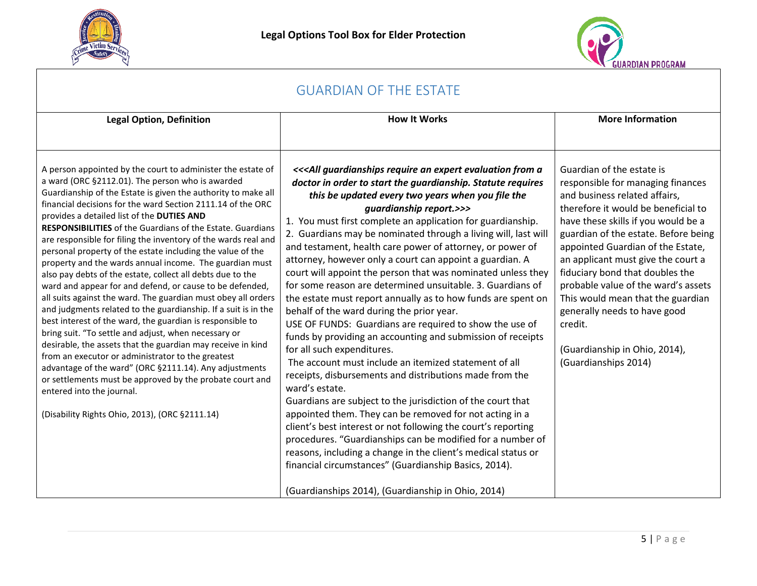



<span id="page-4-0"></span>

| <b>GUARDIAN OF THE ESTATE</b>                                                                                                                                                                                                                                                                                                                                                                                                                                                                                                                                                                                                                                                                                                                                                                                                                                                                                                                                                                                                                                                                                                                                                                                                                                            |                                                                                                                                                                                                                                                                                                                                                                                                                                                                                                                                                                                                                                                                                                                                                                                                                                                                                                                                                                                                                                                                                                                                                                                                                                                                                                                                                                                                                                                                                                                 |                                                                                                                                                                                                                                                                                                                                                                                                                                                                                                                     |  |  |  |
|--------------------------------------------------------------------------------------------------------------------------------------------------------------------------------------------------------------------------------------------------------------------------------------------------------------------------------------------------------------------------------------------------------------------------------------------------------------------------------------------------------------------------------------------------------------------------------------------------------------------------------------------------------------------------------------------------------------------------------------------------------------------------------------------------------------------------------------------------------------------------------------------------------------------------------------------------------------------------------------------------------------------------------------------------------------------------------------------------------------------------------------------------------------------------------------------------------------------------------------------------------------------------|-----------------------------------------------------------------------------------------------------------------------------------------------------------------------------------------------------------------------------------------------------------------------------------------------------------------------------------------------------------------------------------------------------------------------------------------------------------------------------------------------------------------------------------------------------------------------------------------------------------------------------------------------------------------------------------------------------------------------------------------------------------------------------------------------------------------------------------------------------------------------------------------------------------------------------------------------------------------------------------------------------------------------------------------------------------------------------------------------------------------------------------------------------------------------------------------------------------------------------------------------------------------------------------------------------------------------------------------------------------------------------------------------------------------------------------------------------------------------------------------------------------------|---------------------------------------------------------------------------------------------------------------------------------------------------------------------------------------------------------------------------------------------------------------------------------------------------------------------------------------------------------------------------------------------------------------------------------------------------------------------------------------------------------------------|--|--|--|
| <b>Legal Option, Definition</b>                                                                                                                                                                                                                                                                                                                                                                                                                                                                                                                                                                                                                                                                                                                                                                                                                                                                                                                                                                                                                                                                                                                                                                                                                                          | <b>How It Works</b>                                                                                                                                                                                                                                                                                                                                                                                                                                                                                                                                                                                                                                                                                                                                                                                                                                                                                                                                                                                                                                                                                                                                                                                                                                                                                                                                                                                                                                                                                             | <b>More Information</b>                                                                                                                                                                                                                                                                                                                                                                                                                                                                                             |  |  |  |
| A person appointed by the court to administer the estate of<br>a ward (ORC §2112.01). The person who is awarded<br>Guardianship of the Estate is given the authority to make all<br>financial decisions for the ward Section 2111.14 of the ORC<br>provides a detailed list of the DUTIES AND<br><b>RESPONSIBILITIES</b> of the Guardians of the Estate. Guardians<br>are responsible for filing the inventory of the wards real and<br>personal property of the estate including the value of the<br>property and the wards annual income. The guardian must<br>also pay debts of the estate, collect all debts due to the<br>ward and appear for and defend, or cause to be defended,<br>all suits against the ward. The guardian must obey all orders<br>and judgments related to the guardianship. If a suit is in the<br>best interest of the ward, the guardian is responsible to<br>bring suit. "To settle and adjust, when necessary or<br>desirable, the assets that the guardian may receive in kind<br>from an executor or administrator to the greatest<br>advantage of the ward" (ORC §2111.14). Any adjustments<br>or settlements must be approved by the probate court and<br>entered into the journal.<br>(Disability Rights Ohio, 2013), (ORC §2111.14) | << <all a<br="" an="" evaluation="" expert="" from="" guardianships="" require="">doctor in order to start the guardianship. Statute requires<br/>this be updated every two years when you file the<br/>guardianship report.&gt;&gt;&gt;<br/>1. You must first complete an application for guardianship.<br/>2. Guardians may be nominated through a living will, last will<br/>and testament, health care power of attorney, or power of<br/>attorney, however only a court can appoint a guardian. A<br/>court will appoint the person that was nominated unless they<br/>for some reason are determined unsuitable. 3. Guardians of<br/>the estate must report annually as to how funds are spent on<br/>behalf of the ward during the prior year.<br/>USE OF FUNDS: Guardians are required to show the use of<br/>funds by providing an accounting and submission of receipts<br/>for all such expenditures.<br/>The account must include an itemized statement of all<br/>receipts, disbursements and distributions made from the<br/>ward's estate.<br/>Guardians are subject to the jurisdiction of the court that<br/>appointed them. They can be removed for not acting in a<br/>client's best interest or not following the court's reporting<br/>procedures. "Guardianships can be modified for a number of<br/>reasons, including a change in the client's medical status or<br/>financial circumstances" (Guardianship Basics, 2014).<br/>(Guardianships 2014), (Guardianship in Ohio, 2014)</all> | Guardian of the estate is<br>responsible for managing finances<br>and business related affairs,<br>therefore it would be beneficial to<br>have these skills if you would be a<br>guardian of the estate. Before being<br>appointed Guardian of the Estate,<br>an applicant must give the court a<br>fiduciary bond that doubles the<br>probable value of the ward's assets<br>This would mean that the guardian<br>generally needs to have good<br>credit.<br>(Guardianship in Ohio, 2014),<br>(Guardianships 2014) |  |  |  |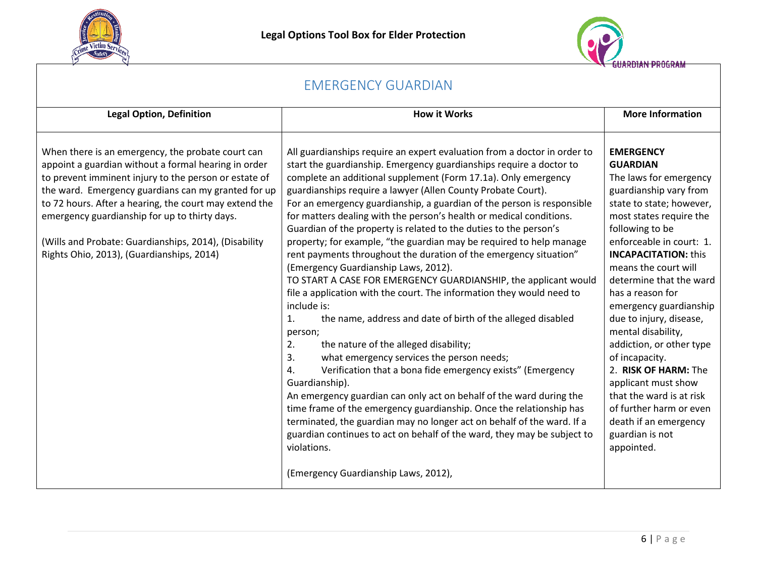



<span id="page-5-0"></span>

| <b>EMERGENCY GUARDIAN</b>                                                                                                                                                                                                                                                                                                                                                                                                                  |                                                                                                                                                                                                                                                                                                                                                                                                                                                                                                                                                                                                                                                                                                                                                                                                                                                                                                                                                                                                                                                                                                                                                                                                                                                                                                                                                                                                                                                                                          |                                                                                                                                                                                                                                                                                                                                                                                                                                                                                                                                                                                              |  |  |  |
|--------------------------------------------------------------------------------------------------------------------------------------------------------------------------------------------------------------------------------------------------------------------------------------------------------------------------------------------------------------------------------------------------------------------------------------------|------------------------------------------------------------------------------------------------------------------------------------------------------------------------------------------------------------------------------------------------------------------------------------------------------------------------------------------------------------------------------------------------------------------------------------------------------------------------------------------------------------------------------------------------------------------------------------------------------------------------------------------------------------------------------------------------------------------------------------------------------------------------------------------------------------------------------------------------------------------------------------------------------------------------------------------------------------------------------------------------------------------------------------------------------------------------------------------------------------------------------------------------------------------------------------------------------------------------------------------------------------------------------------------------------------------------------------------------------------------------------------------------------------------------------------------------------------------------------------------|----------------------------------------------------------------------------------------------------------------------------------------------------------------------------------------------------------------------------------------------------------------------------------------------------------------------------------------------------------------------------------------------------------------------------------------------------------------------------------------------------------------------------------------------------------------------------------------------|--|--|--|
| <b>Legal Option, Definition</b>                                                                                                                                                                                                                                                                                                                                                                                                            | <b>How it Works</b>                                                                                                                                                                                                                                                                                                                                                                                                                                                                                                                                                                                                                                                                                                                                                                                                                                                                                                                                                                                                                                                                                                                                                                                                                                                                                                                                                                                                                                                                      | <b>More Information</b>                                                                                                                                                                                                                                                                                                                                                                                                                                                                                                                                                                      |  |  |  |
| When there is an emergency, the probate court can<br>appoint a guardian without a formal hearing in order<br>to prevent imminent injury to the person or estate of<br>the ward. Emergency guardians can my granted for up<br>to 72 hours. After a hearing, the court may extend the<br>emergency guardianship for up to thirty days.<br>(Wills and Probate: Guardianships, 2014), (Disability<br>Rights Ohio, 2013), (Guardianships, 2014) | All guardianships require an expert evaluation from a doctor in order to<br>start the guardianship. Emergency guardianships require a doctor to<br>complete an additional supplement (Form 17.1a). Only emergency<br>guardianships require a lawyer (Allen County Probate Court).<br>For an emergency guardianship, a guardian of the person is responsible<br>for matters dealing with the person's health or medical conditions.<br>Guardian of the property is related to the duties to the person's<br>property; for example, "the guardian may be required to help manage<br>rent payments throughout the duration of the emergency situation"<br>(Emergency Guardianship Laws, 2012).<br>TO START A CASE FOR EMERGENCY GUARDIANSHIP, the applicant would<br>file a application with the court. The information they would need to<br>include is:<br>1.<br>the name, address and date of birth of the alleged disabled<br>person;<br>2.<br>the nature of the alleged disability;<br>3.<br>what emergency services the person needs;<br>4.<br>Verification that a bona fide emergency exists" (Emergency<br>Guardianship).<br>An emergency guardian can only act on behalf of the ward during the<br>time frame of the emergency guardianship. Once the relationship has<br>terminated, the guardian may no longer act on behalf of the ward. If a<br>guardian continues to act on behalf of the ward, they may be subject to<br>violations.<br>(Emergency Guardianship Laws, 2012), | <b>EMERGENCY</b><br><b>GUARDIAN</b><br>The laws for emergency<br>guardianship vary from<br>state to state; however,<br>most states require the<br>following to be<br>enforceable in court: 1.<br><b>INCAPACITATION: this</b><br>means the court will<br>determine that the ward<br>has a reason for<br>emergency guardianship<br>due to injury, disease,<br>mental disability,<br>addiction, or other type<br>of incapacity.<br>2. RISK OF HARM: The<br>applicant must show<br>that the ward is at risk<br>of further harm or even<br>death if an emergency<br>guardian is not<br>appointed. |  |  |  |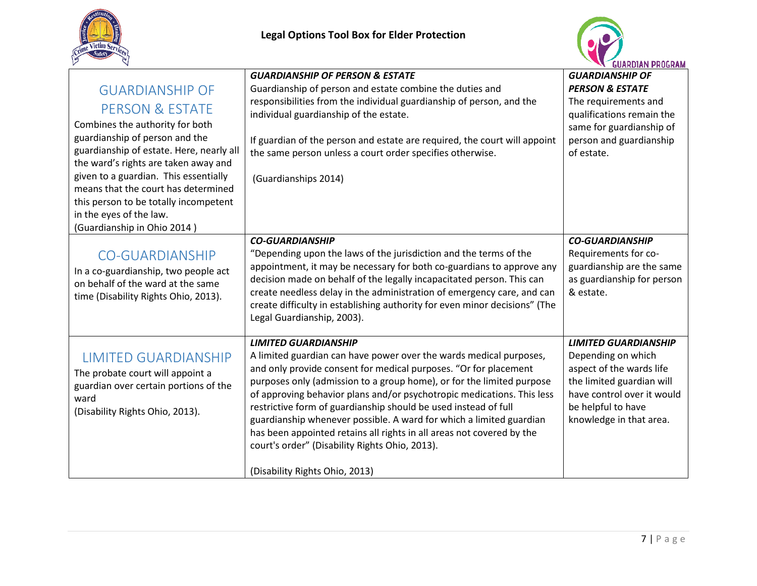



<span id="page-6-2"></span><span id="page-6-1"></span><span id="page-6-0"></span>

|                                          | <b>GUARDIANSHIP OF PERSON &amp; ESTATE</b>                                                                     | <b>GUARDIANSHIP OF</b>                                  |
|------------------------------------------|----------------------------------------------------------------------------------------------------------------|---------------------------------------------------------|
| <b>GUARDIANSHIP OF</b>                   | Guardianship of person and estate combine the duties and                                                       | <b>PERSON &amp; ESTATE</b>                              |
| <b>PERSON &amp; ESTATE</b>               | responsibilities from the individual guardianship of person, and the<br>individual guardianship of the estate. | The requirements and<br>qualifications remain the       |
| Combines the authority for both          |                                                                                                                | same for guardianship of                                |
| guardianship of person and the           | If guardian of the person and estate are required, the court will appoint                                      | person and guardianship                                 |
| guardianship of estate. Here, nearly all | the same person unless a court order specifies otherwise.                                                      | of estate.                                              |
| the ward's rights are taken away and     |                                                                                                                |                                                         |
| given to a guardian. This essentially    | (Guardianships 2014)                                                                                           |                                                         |
| means that the court has determined      |                                                                                                                |                                                         |
| this person to be totally incompetent    |                                                                                                                |                                                         |
| in the eyes of the law.                  |                                                                                                                |                                                         |
| (Guardianship in Ohio 2014)              |                                                                                                                |                                                         |
|                                          | <b>CO-GUARDIANSHIP</b>                                                                                         | <b>CO-GUARDIANSHIP</b>                                  |
| <b>CO-GUARDIANSHIP</b>                   | "Depending upon the laws of the jurisdiction and the terms of the                                              | Requirements for co-                                    |
| In a co-guardianship, two people act     | appointment, it may be necessary for both co-guardians to approve any                                          | guardianship are the same                               |
| on behalf of the ward at the same        | decision made on behalf of the legally incapacitated person. This can                                          | as guardianship for person                              |
| time (Disability Rights Ohio, 2013).     | create needless delay in the administration of emergency care, and can                                         | & estate.                                               |
|                                          | create difficulty in establishing authority for even minor decisions" (The                                     |                                                         |
|                                          | Legal Guardianship, 2003).                                                                                     |                                                         |
|                                          |                                                                                                                |                                                         |
|                                          | <b>LIMITED GUARDIANSHIP</b>                                                                                    | <b>LIMITED GUARDIANSHIP</b>                             |
| <b>LIMITED GUARDIANSHIP</b>              | A limited guardian can have power over the wards medical purposes,                                             | Depending on which                                      |
| The probate court will appoint a         | and only provide consent for medical purposes. "Or for placement                                               | aspect of the wards life                                |
| guardian over certain portions of the    | purposes only (admission to a group home), or for the limited purpose                                          | the limited guardian will<br>have control over it would |
| ward                                     | of approving behavior plans and/or psychotropic medications. This less                                         |                                                         |
| (Disability Rights Ohio, 2013).          | restrictive form of guardianship should be used instead of full                                                | be helpful to have                                      |
|                                          | guardianship whenever possible. A ward for which a limited guardian                                            | knowledge in that area.                                 |
|                                          | has been appointed retains all rights in all areas not covered by the                                          |                                                         |
|                                          | court's order" (Disability Rights Ohio, 2013).                                                                 |                                                         |
|                                          | (Disability Rights Ohio, 2013)                                                                                 |                                                         |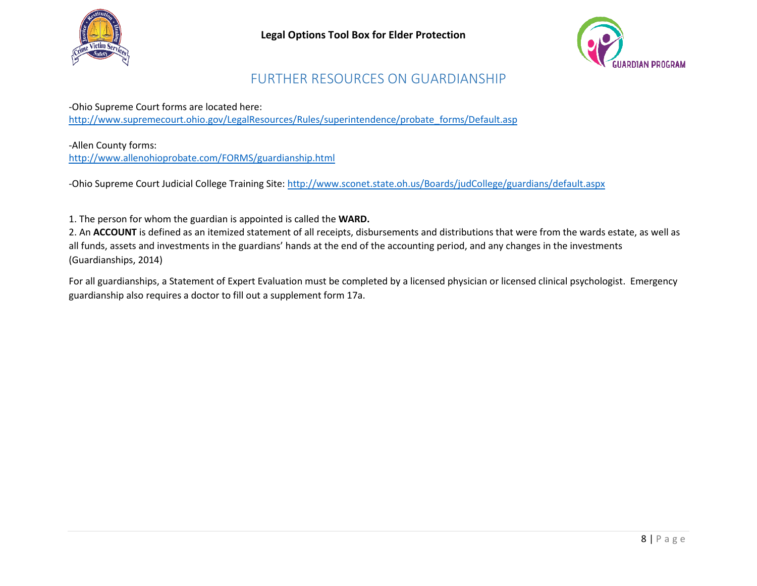



#### FURTHER RESOURCES ON GUARDIANSHIP

<span id="page-7-0"></span>-Ohio Supreme Court forms are located here: [http://www.supremecourt.ohio.gov/LegalResources/Rules/superintendence/probate\\_forms/Default.asp](http://www.supremecourt.ohio.gov/LegalResources/Rules/superintendence/probate_forms/Default.asp) 

-Allen County forms: <http://www.allenohioprobate.com/FORMS/guardianship.html>

-Ohio Supreme Court Judicial College Training Site[: http://www.sconet.state.oh.us/Boards/judCollege/guardians/default.aspx](http://www.sconet.state.oh.us/Boards/judCollege/guardians/default.aspx)

1. The person for whom the guardian is appointed is called the **WARD.**

2. An **ACCOUNT** is defined as an itemized statement of all receipts, disbursements and distributions that were from the wards estate, as well as all funds, assets and investments in the guardians' hands at the end of the accounting period, and any changes in the investments (Guardianships, 2014)

For all guardianships, a Statement of Expert Evaluation must be completed by a licensed physician or licensed clinical psychologist. Emergency guardianship also requires a doctor to fill out a supplement form 17a.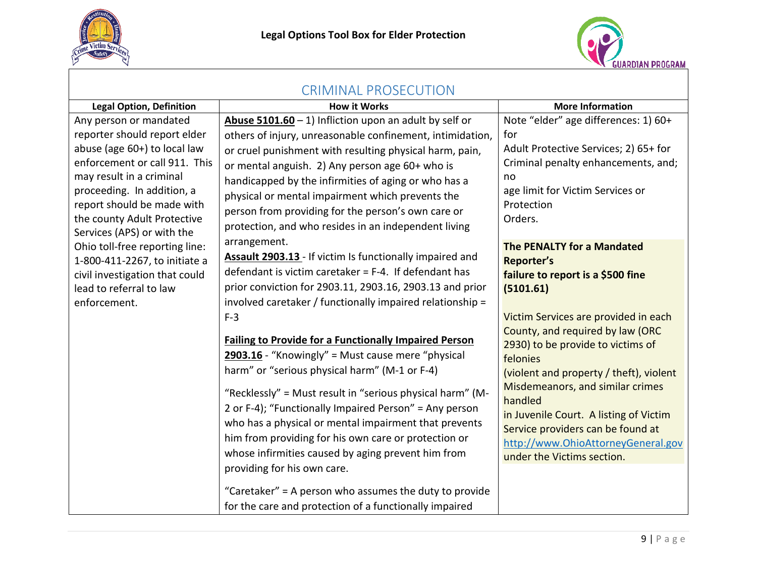



<span id="page-8-0"></span>

| <b>CRIMINAL PROSECUTION</b>                                                                                                                                                                                                                                                  |                                                                                                                                                                                                                                                                                                                                                                                                                                                                                                                                                                                                                                                                                                                                                                                                                                                                                               |                                                                                                                                                                                                                                                                                                                                                                                                                                                                             |  |  |  |
|------------------------------------------------------------------------------------------------------------------------------------------------------------------------------------------------------------------------------------------------------------------------------|-----------------------------------------------------------------------------------------------------------------------------------------------------------------------------------------------------------------------------------------------------------------------------------------------------------------------------------------------------------------------------------------------------------------------------------------------------------------------------------------------------------------------------------------------------------------------------------------------------------------------------------------------------------------------------------------------------------------------------------------------------------------------------------------------------------------------------------------------------------------------------------------------|-----------------------------------------------------------------------------------------------------------------------------------------------------------------------------------------------------------------------------------------------------------------------------------------------------------------------------------------------------------------------------------------------------------------------------------------------------------------------------|--|--|--|
| <b>Legal Option, Definition</b>                                                                                                                                                                                                                                              | <b>How it Works</b>                                                                                                                                                                                                                                                                                                                                                                                                                                                                                                                                                                                                                                                                                                                                                                                                                                                                           | <b>More Information</b>                                                                                                                                                                                                                                                                                                                                                                                                                                                     |  |  |  |
| Any person or mandated<br>reporter should report elder<br>abuse (age 60+) to local law<br>enforcement or call 911. This<br>may result in a criminal<br>proceeding. In addition, a<br>report should be made with<br>the county Adult Protective<br>Services (APS) or with the | Abuse $5101.60 - 1$ ) Infliction upon an adult by self or<br>others of injury, unreasonable confinement, intimidation,<br>or cruel punishment with resulting physical harm, pain,<br>or mental anguish. 2) Any person age 60+ who is<br>handicapped by the infirmities of aging or who has a<br>physical or mental impairment which prevents the<br>person from providing for the person's own care or<br>protection, and who resides in an independent living                                                                                                                                                                                                                                                                                                                                                                                                                                | Note "elder" age differences: 1) 60+<br>for<br>Adult Protective Services; 2) 65+ for<br>Criminal penalty enhancements, and;<br>no<br>age limit for Victim Services or<br>Protection<br>Orders.                                                                                                                                                                                                                                                                              |  |  |  |
| Ohio toll-free reporting line:<br>1-800-411-2267, to initiate a<br>civil investigation that could<br>lead to referral to law<br>enforcement.                                                                                                                                 | arrangement.<br>Assault 2903.13 - If victim Is functionally impaired and<br>defendant is victim caretaker = $F-4$ . If defendant has<br>prior conviction for 2903.11, 2903.16, 2903.13 and prior<br>involved caretaker / functionally impaired relationship =<br>$F-3$<br><b>Failing to Provide for a Functionally Impaired Person</b><br>2903.16 - "Knowingly" = Must cause mere "physical<br>harm" or "serious physical harm" (M-1 or F-4)<br>"Recklessly" = Must result in "serious physical harm" (M-<br>2 or F-4); "Functionally Impaired Person" = Any person<br>who has a physical or mental impairment that prevents<br>him from providing for his own care or protection or<br>whose infirmities caused by aging prevent him from<br>providing for his own care.<br>"Caretaker" = A person who assumes the duty to provide<br>for the care and protection of a functionally impaired | The PENALTY for a Mandated<br><b>Reporter's</b><br>failure to report is a \$500 fine<br>(5101.61)<br>Victim Services are provided in each<br>County, and required by law (ORC<br>2930) to be provide to victims of<br>felonies<br>(violent and property / theft), violent<br>Misdemeanors, and similar crimes<br>handled<br>in Juvenile Court. A listing of Victim<br>Service providers can be found at<br>http://www.OhioAttorneyGeneral.gov<br>under the Victims section. |  |  |  |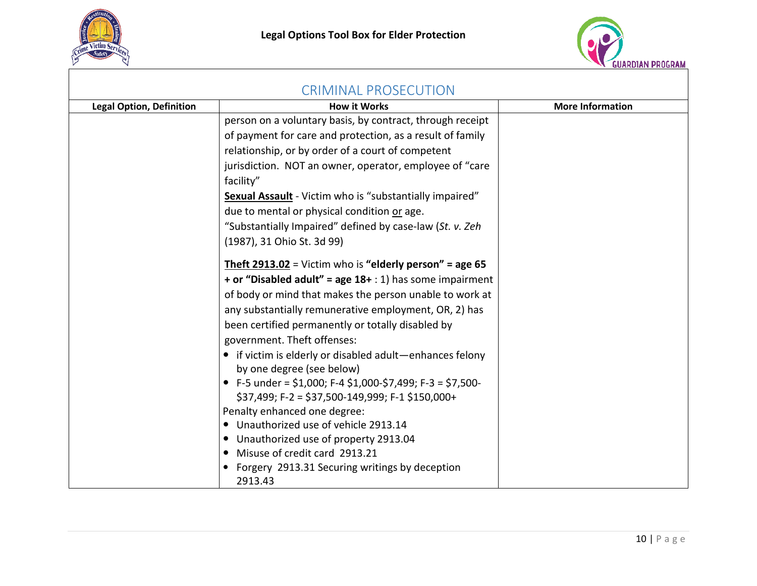



| <b>CRIMINAL PROSECUTION</b>     |                                                                                       |                         |  |  |
|---------------------------------|---------------------------------------------------------------------------------------|-------------------------|--|--|
| <b>Legal Option, Definition</b> | <b>How it Works</b>                                                                   | <b>More Information</b> |  |  |
|                                 | person on a voluntary basis, by contract, through receipt                             |                         |  |  |
|                                 | of payment for care and protection, as a result of family                             |                         |  |  |
|                                 | relationship, or by order of a court of competent                                     |                         |  |  |
|                                 | jurisdiction. NOT an owner, operator, employee of "care                               |                         |  |  |
|                                 | facility"                                                                             |                         |  |  |
|                                 | <b>Sexual Assault</b> - Victim who is "substantially impaired"                        |                         |  |  |
|                                 | due to mental or physical condition or age.                                           |                         |  |  |
|                                 | "Substantially Impaired" defined by case-law (St. v. Zeh                              |                         |  |  |
|                                 | (1987), 31 Ohio St. 3d 99)                                                            |                         |  |  |
|                                 | <b>Theft 2913.02</b> = Victim who is "elderly person" = age 65                        |                         |  |  |
|                                 | + or "Disabled adult" = age $18+$ : 1) has some impairment                            |                         |  |  |
|                                 | of body or mind that makes the person unable to work at                               |                         |  |  |
|                                 | any substantially remunerative employment, OR, 2) has                                 |                         |  |  |
|                                 | been certified permanently or totally disabled by                                     |                         |  |  |
|                                 | government. Theft offenses:                                                           |                         |  |  |
|                                 | • if victim is elderly or disabled adult-enhances felony<br>by one degree (see below) |                         |  |  |
|                                 | • F-5 under = \$1,000; F-4 \$1,000-\$7,499; F-3 = \$7,500-                            |                         |  |  |
|                                 | $$37,499; F-2 = $37,500-149,999; F-1 $150,000+$                                       |                         |  |  |
|                                 | Penalty enhanced one degree:                                                          |                         |  |  |
|                                 | Unauthorized use of vehicle 2913.14                                                   |                         |  |  |
|                                 | Unauthorized use of property 2913.04                                                  |                         |  |  |
|                                 | Misuse of credit card 2913.21                                                         |                         |  |  |
|                                 | Forgery 2913.31 Securing writings by deception<br>2913.43                             |                         |  |  |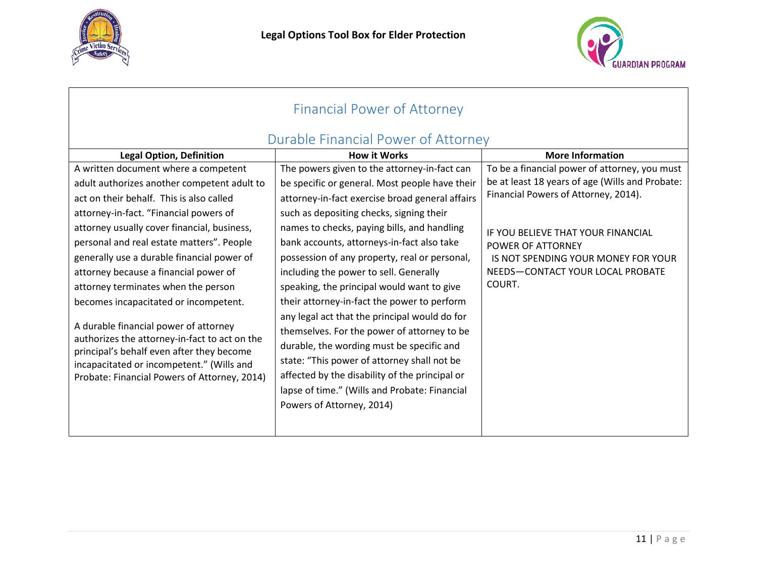



<span id="page-10-1"></span><span id="page-10-0"></span>

| <b>Financial Power of Attorney</b>                                                         |                                                 |                                                 |  |  |  |
|--------------------------------------------------------------------------------------------|-------------------------------------------------|-------------------------------------------------|--|--|--|
|                                                                                            | Durable Financial Power of Attorney             |                                                 |  |  |  |
| <b>Legal Option, Definition</b>                                                            | <b>How it Works</b>                             | <b>More Information</b>                         |  |  |  |
| A written document where a competent                                                       | The powers given to the attorney-in-fact can    | To be a financial power of attorney, you must   |  |  |  |
| adult authorizes another competent adult to                                                | be specific or general. Most people have their  | be at least 18 years of age (Wills and Probate: |  |  |  |
| act on their behalf. This is also called                                                   | attorney-in-fact exercise broad general affairs | Financial Powers of Attorney, 2014).            |  |  |  |
| attorney-in-fact. "Financial powers of                                                     | such as depositing checks, signing their        |                                                 |  |  |  |
| attorney usually cover financial, business,                                                | names to checks, paying bills, and handling     | IF YOU BELIEVE THAT YOUR FINANCIAL              |  |  |  |
| personal and real estate matters". People                                                  | bank accounts, attorneys-in-fact also take      | POWER OF ATTORNEY                               |  |  |  |
| generally use a durable financial power of                                                 | possession of any property, real or personal,   | IS NOT SPENDING YOUR MONEY FOR YOUR             |  |  |  |
| attorney because a financial power of                                                      | including the power to sell. Generally          | NEEDS-CONTACT YOUR LOCAL PROBATE                |  |  |  |
| attorney terminates when the person                                                        | speaking, the principal would want to give      | COURT.                                          |  |  |  |
| becomes incapacitated or incompetent.                                                      | their attorney-in-fact the power to perform     |                                                 |  |  |  |
|                                                                                            | any legal act that the principal would do for   |                                                 |  |  |  |
| A durable financial power of attorney                                                      | themselves. For the power of attorney to be     |                                                 |  |  |  |
| authorizes the attorney-in-fact to act on the<br>principal's behalf even after they become | durable, the wording must be specific and       |                                                 |  |  |  |
| incapacitated or incompetent." (Wills and                                                  | state: "This power of attorney shall not be     |                                                 |  |  |  |
| Probate: Financial Powers of Attorney, 2014)                                               | affected by the disability of the principal or  |                                                 |  |  |  |
|                                                                                            | lapse of time." (Wills and Probate: Financial   |                                                 |  |  |  |
|                                                                                            | Powers of Attorney, 2014)                       |                                                 |  |  |  |
|                                                                                            |                                                 |                                                 |  |  |  |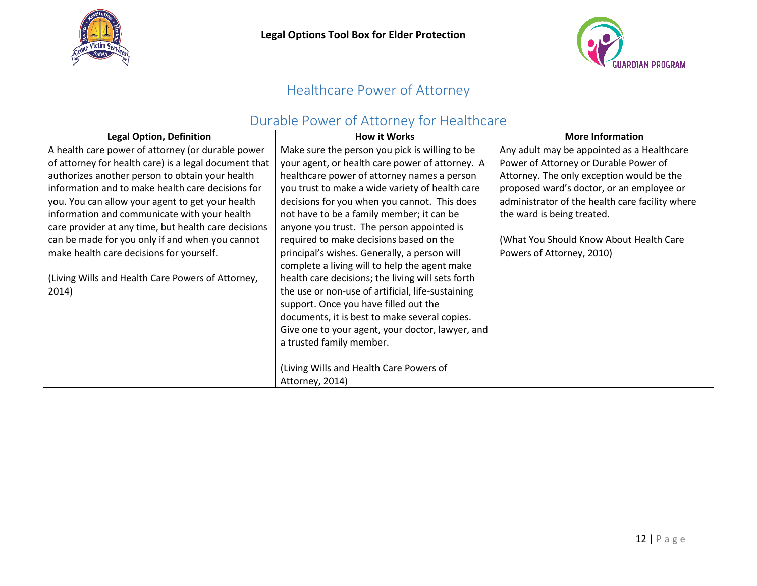



# Healthcare Power of Attorney

## Durable Power of Attorney for Healthcare

<span id="page-11-1"></span><span id="page-11-0"></span>

| <b>Legal Option, Definition</b>                       | <b>How it Works</b>                               | <b>More Information</b>                         |
|-------------------------------------------------------|---------------------------------------------------|-------------------------------------------------|
| A health care power of attorney (or durable power     | Make sure the person you pick is willing to be    | Any adult may be appointed as a Healthcare      |
| of attorney for health care) is a legal document that | your agent, or health care power of attorney. A   | Power of Attorney or Durable Power of           |
| authorizes another person to obtain your health       | healthcare power of attorney names a person       | Attorney. The only exception would be the       |
| information and to make health care decisions for     | you trust to make a wide variety of health care   | proposed ward's doctor, or an employee or       |
| you. You can allow your agent to get your health      | decisions for you when you cannot. This does      | administrator of the health care facility where |
| information and communicate with your health          | not have to be a family member; it can be         | the ward is being treated.                      |
| care provider at any time, but health care decisions  | anyone you trust. The person appointed is         |                                                 |
| can be made for you only if and when you cannot       | required to make decisions based on the           | (What You Should Know About Health Care         |
| make health care decisions for yourself.              | principal's wishes. Generally, a person will      | Powers of Attorney, 2010)                       |
|                                                       | complete a living will to help the agent make     |                                                 |
| (Living Wills and Health Care Powers of Attorney,     | health care decisions; the living will sets forth |                                                 |
| 2014)                                                 | the use or non-use of artificial, life-sustaining |                                                 |
|                                                       | support. Once you have filled out the             |                                                 |
|                                                       | documents, it is best to make several copies.     |                                                 |
|                                                       | Give one to your agent, your doctor, lawyer, and  |                                                 |
|                                                       | a trusted family member.                          |                                                 |
|                                                       |                                                   |                                                 |
|                                                       | (Living Wills and Health Care Powers of           |                                                 |
|                                                       | Attorney, 2014)                                   |                                                 |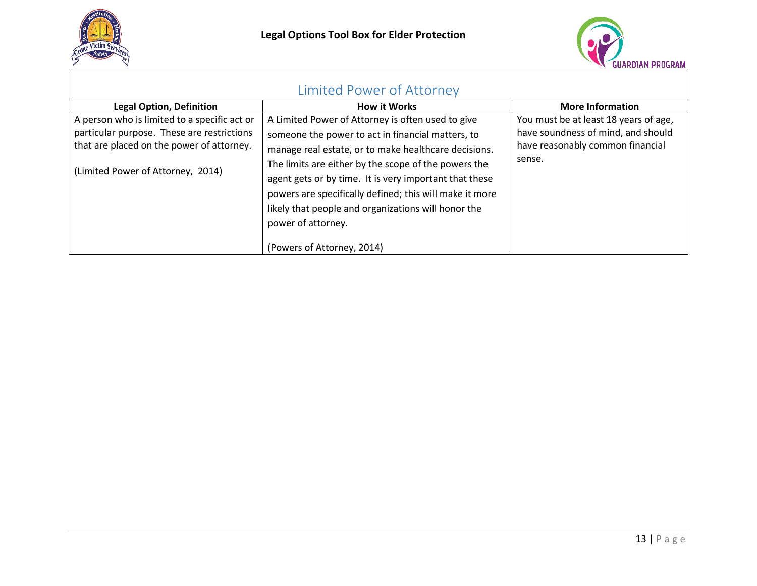



<span id="page-12-0"></span>

| Limited Power of Attorney                                                                                                                                                    |                                                                                                                                                                                                                                                                                                                                                                                                                                                        |                                                                                                                           |  |  |  |
|------------------------------------------------------------------------------------------------------------------------------------------------------------------------------|--------------------------------------------------------------------------------------------------------------------------------------------------------------------------------------------------------------------------------------------------------------------------------------------------------------------------------------------------------------------------------------------------------------------------------------------------------|---------------------------------------------------------------------------------------------------------------------------|--|--|--|
| <b>Legal Option, Definition</b>                                                                                                                                              | <b>How it Works</b>                                                                                                                                                                                                                                                                                                                                                                                                                                    | <b>More Information</b>                                                                                                   |  |  |  |
| A person who is limited to a specific act or<br>particular purpose. These are restrictions<br>that are placed on the power of attorney.<br>(Limited Power of Attorney, 2014) | A Limited Power of Attorney is often used to give<br>someone the power to act in financial matters, to<br>manage real estate, or to make healthcare decisions.<br>The limits are either by the scope of the powers the<br>agent gets or by time. It is very important that these<br>powers are specifically defined; this will make it more<br>likely that people and organizations will honor the<br>power of attorney.<br>(Powers of Attorney, 2014) | You must be at least 18 years of age,<br>have soundness of mind, and should<br>have reasonably common financial<br>sense. |  |  |  |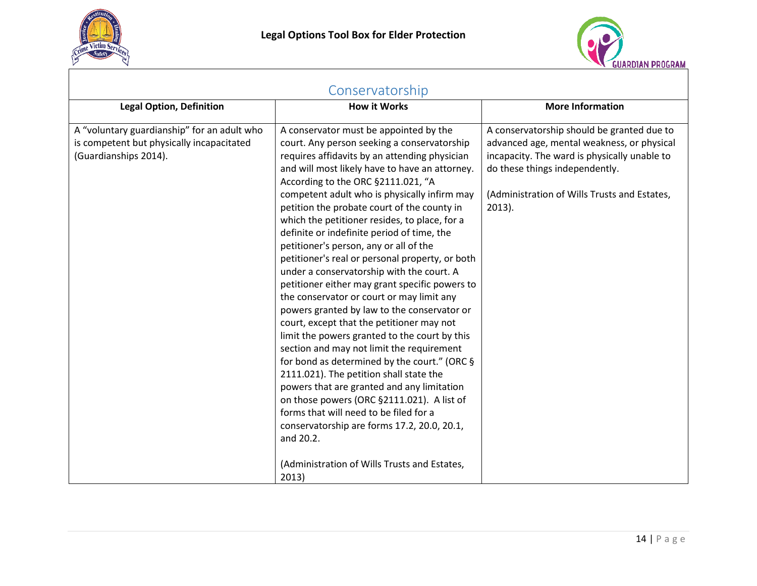



<span id="page-13-0"></span>

| Conservatorship                                                                                                   |                                                                                                                                                                                                                                                                                                                                                                                                                                                                                                                                                                                                                                                                                                                                                                                                                                                                                                                                                                                                                                                                                                                                                                                                                       |                                                                                                                                                                                                                                         |  |  |  |  |
|-------------------------------------------------------------------------------------------------------------------|-----------------------------------------------------------------------------------------------------------------------------------------------------------------------------------------------------------------------------------------------------------------------------------------------------------------------------------------------------------------------------------------------------------------------------------------------------------------------------------------------------------------------------------------------------------------------------------------------------------------------------------------------------------------------------------------------------------------------------------------------------------------------------------------------------------------------------------------------------------------------------------------------------------------------------------------------------------------------------------------------------------------------------------------------------------------------------------------------------------------------------------------------------------------------------------------------------------------------|-----------------------------------------------------------------------------------------------------------------------------------------------------------------------------------------------------------------------------------------|--|--|--|--|
| <b>Legal Option, Definition</b>                                                                                   | <b>How it Works</b>                                                                                                                                                                                                                                                                                                                                                                                                                                                                                                                                                                                                                                                                                                                                                                                                                                                                                                                                                                                                                                                                                                                                                                                                   | <b>More Information</b>                                                                                                                                                                                                                 |  |  |  |  |
| A "voluntary guardianship" for an adult who<br>is competent but physically incapacitated<br>(Guardianships 2014). | A conservator must be appointed by the<br>court. Any person seeking a conservatorship<br>requires affidavits by an attending physician<br>and will most likely have to have an attorney.<br>According to the ORC §2111.021, "A<br>competent adult who is physically infirm may<br>petition the probate court of the county in<br>which the petitioner resides, to place, for a<br>definite or indefinite period of time, the<br>petitioner's person, any or all of the<br>petitioner's real or personal property, or both<br>under a conservatorship with the court. A<br>petitioner either may grant specific powers to<br>the conservator or court or may limit any<br>powers granted by law to the conservator or<br>court, except that the petitioner may not<br>limit the powers granted to the court by this<br>section and may not limit the requirement<br>for bond as determined by the court." (ORC §<br>2111.021). The petition shall state the<br>powers that are granted and any limitation<br>on those powers (ORC §2111.021). A list of<br>forms that will need to be filed for a<br>conservatorship are forms 17.2, 20.0, 20.1,<br>and 20.2.<br>(Administration of Wills Trusts and Estates,<br>2013) | A conservatorship should be granted due to<br>advanced age, mental weakness, or physical<br>incapacity. The ward is physically unable to<br>do these things independently.<br>(Administration of Wills Trusts and Estates,<br>$2013$ ). |  |  |  |  |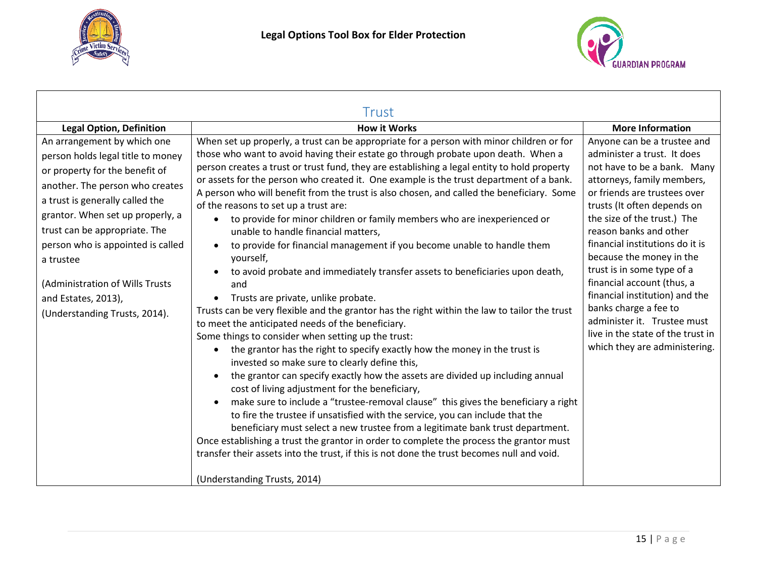

<span id="page-14-0"></span>Г



| Trust                                                                                                                                                                                                                                                                                                                                                                                      |                                                                                                                                                                                                                                                                                                                                                                                                                                                                                                                                                                                                                                                                                                                                                                                                                                                                                                                                                                                                                                                                                                                                                                                                                                                                                                                                                                                                                                                                                                                                                                                                                                                                                                                                                                                                                                                                                                       |                                                                                                                                                                                                                                                                                                                                                                                                                                                                                                                                            |  |  |  |
|--------------------------------------------------------------------------------------------------------------------------------------------------------------------------------------------------------------------------------------------------------------------------------------------------------------------------------------------------------------------------------------------|-------------------------------------------------------------------------------------------------------------------------------------------------------------------------------------------------------------------------------------------------------------------------------------------------------------------------------------------------------------------------------------------------------------------------------------------------------------------------------------------------------------------------------------------------------------------------------------------------------------------------------------------------------------------------------------------------------------------------------------------------------------------------------------------------------------------------------------------------------------------------------------------------------------------------------------------------------------------------------------------------------------------------------------------------------------------------------------------------------------------------------------------------------------------------------------------------------------------------------------------------------------------------------------------------------------------------------------------------------------------------------------------------------------------------------------------------------------------------------------------------------------------------------------------------------------------------------------------------------------------------------------------------------------------------------------------------------------------------------------------------------------------------------------------------------------------------------------------------------------------------------------------------------|--------------------------------------------------------------------------------------------------------------------------------------------------------------------------------------------------------------------------------------------------------------------------------------------------------------------------------------------------------------------------------------------------------------------------------------------------------------------------------------------------------------------------------------------|--|--|--|
| <b>Legal Option, Definition</b>                                                                                                                                                                                                                                                                                                                                                            | <b>How it Works</b>                                                                                                                                                                                                                                                                                                                                                                                                                                                                                                                                                                                                                                                                                                                                                                                                                                                                                                                                                                                                                                                                                                                                                                                                                                                                                                                                                                                                                                                                                                                                                                                                                                                                                                                                                                                                                                                                                   | <b>More Information</b>                                                                                                                                                                                                                                                                                                                                                                                                                                                                                                                    |  |  |  |
| An arrangement by which one<br>person holds legal title to money<br>or property for the benefit of<br>another. The person who creates<br>a trust is generally called the<br>grantor. When set up properly, a<br>trust can be appropriate. The<br>person who is appointed is called<br>a trustee<br>(Administration of Wills Trusts<br>and Estates, 2013),<br>(Understanding Trusts, 2014). | When set up properly, a trust can be appropriate for a person with minor children or for<br>those who want to avoid having their estate go through probate upon death. When a<br>person creates a trust or trust fund, they are establishing a legal entity to hold property<br>or assets for the person who created it. One example is the trust department of a bank.<br>A person who will benefit from the trust is also chosen, and called the beneficiary. Some<br>of the reasons to set up a trust are:<br>to provide for minor children or family members who are inexperienced or<br>$\bullet$<br>unable to handle financial matters,<br>to provide for financial management if you become unable to handle them<br>$\bullet$<br>yourself,<br>to avoid probate and immediately transfer assets to beneficiaries upon death,<br>$\bullet$<br>and<br>Trusts are private, unlike probate.<br>Trusts can be very flexible and the grantor has the right within the law to tailor the trust<br>to meet the anticipated needs of the beneficiary.<br>Some things to consider when setting up the trust:<br>the grantor has the right to specify exactly how the money in the trust is<br>$\bullet$<br>invested so make sure to clearly define this,<br>the grantor can specify exactly how the assets are divided up including annual<br>$\bullet$<br>cost of living adjustment for the beneficiary,<br>make sure to include a "trustee-removal clause" this gives the beneficiary a right<br>$\bullet$<br>to fire the trustee if unsatisfied with the service, you can include that the<br>beneficiary must select a new trustee from a legitimate bank trust department.<br>Once establishing a trust the grantor in order to complete the process the grantor must<br>transfer their assets into the trust, if this is not done the trust becomes null and void.<br>(Understanding Trusts, 2014) | Anyone can be a trustee and<br>administer a trust. It does<br>not have to be a bank. Many<br>attorneys, family members,<br>or friends are trustees over<br>trusts (It often depends on<br>the size of the trust.) The<br>reason banks and other<br>financial institutions do it is<br>because the money in the<br>trust is in some type of a<br>financial account (thus, a<br>financial institution) and the<br>banks charge a fee to<br>administer it. Trustee must<br>live in the state of the trust in<br>which they are administering. |  |  |  |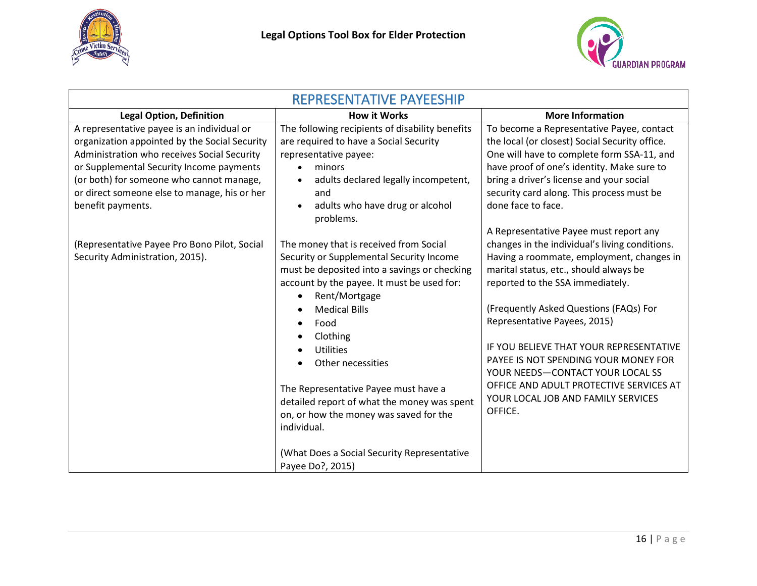



<span id="page-15-0"></span>

| <b>REPRESENTATIVE PAYEESHIP</b>                                                                                                                                                                                                                                                                         |                                                                                                                                                                                                                                                                                                                                                                                                                                                                                                           |                                                                                                                                                                                                                                                                                                                                                                                                                                                                                                                  |  |  |  |
|---------------------------------------------------------------------------------------------------------------------------------------------------------------------------------------------------------------------------------------------------------------------------------------------------------|-----------------------------------------------------------------------------------------------------------------------------------------------------------------------------------------------------------------------------------------------------------------------------------------------------------------------------------------------------------------------------------------------------------------------------------------------------------------------------------------------------------|------------------------------------------------------------------------------------------------------------------------------------------------------------------------------------------------------------------------------------------------------------------------------------------------------------------------------------------------------------------------------------------------------------------------------------------------------------------------------------------------------------------|--|--|--|
| <b>Legal Option, Definition</b>                                                                                                                                                                                                                                                                         | <b>How it Works</b>                                                                                                                                                                                                                                                                                                                                                                                                                                                                                       | <b>More Information</b>                                                                                                                                                                                                                                                                                                                                                                                                                                                                                          |  |  |  |
| A representative payee is an individual or<br>organization appointed by the Social Security<br>Administration who receives Social Security<br>or Supplemental Security Income payments<br>(or both) for someone who cannot manage,<br>or direct someone else to manage, his or her<br>benefit payments. | The following recipients of disability benefits<br>are required to have a Social Security<br>representative payee:<br>minors<br>adults declared legally incompetent,<br>and<br>adults who have drug or alcohol<br>problems.                                                                                                                                                                                                                                                                               | To become a Representative Payee, contact<br>the local (or closest) Social Security office.<br>One will have to complete form SSA-11, and<br>have proof of one's identity. Make sure to<br>bring a driver's license and your social<br>security card along. This process must be<br>done face to face.                                                                                                                                                                                                           |  |  |  |
| (Representative Payee Pro Bono Pilot, Social<br>Security Administration, 2015).                                                                                                                                                                                                                         | The money that is received from Social<br>Security or Supplemental Security Income<br>must be deposited into a savings or checking<br>account by the payee. It must be used for:<br>Rent/Mortgage<br><b>Medical Bills</b><br>Food<br>Clothing<br><b>Utilities</b><br>Other necessities<br>The Representative Payee must have a<br>detailed report of what the money was spent<br>on, or how the money was saved for the<br>individual.<br>(What Does a Social Security Representative<br>Payee Do?, 2015) | A Representative Payee must report any<br>changes in the individual's living conditions.<br>Having a roommate, employment, changes in<br>marital status, etc., should always be<br>reported to the SSA immediately.<br>(Frequently Asked Questions (FAQs) For<br>Representative Payees, 2015)<br>IF YOU BELIEVE THAT YOUR REPRESENTATIVE<br>PAYEE IS NOT SPENDING YOUR MONEY FOR<br>YOUR NEEDS-CONTACT YOUR LOCAL SS<br>OFFICE AND ADULT PROTECTIVE SERVICES AT<br>YOUR LOCAL JOB AND FAMILY SERVICES<br>OFFICE. |  |  |  |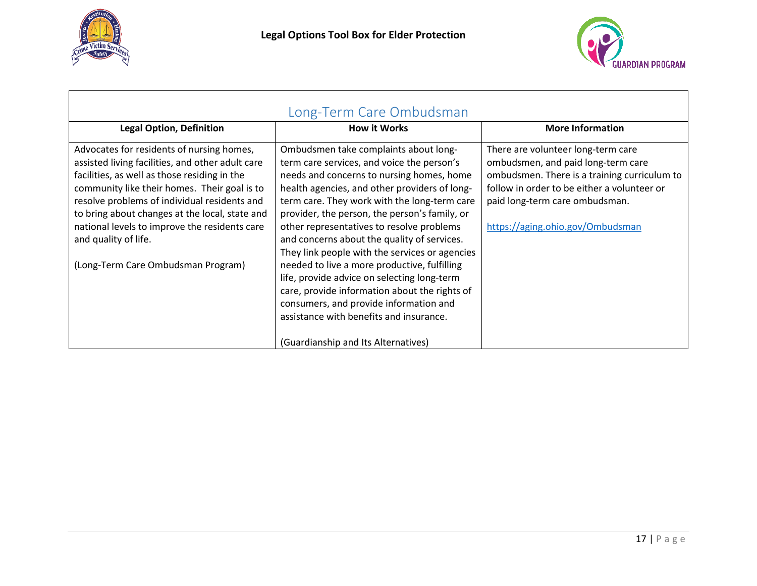



<span id="page-16-0"></span>

| Long-Term Care Ombudsman                                                                                                                                                                                                                                                                                                                                                                                       |                                                                                                                                                                                                                                                                                                                                                                                                                                                                                                                                                                                                                                                                       |                                                                                                                                                                                                                                               |  |  |
|----------------------------------------------------------------------------------------------------------------------------------------------------------------------------------------------------------------------------------------------------------------------------------------------------------------------------------------------------------------------------------------------------------------|-----------------------------------------------------------------------------------------------------------------------------------------------------------------------------------------------------------------------------------------------------------------------------------------------------------------------------------------------------------------------------------------------------------------------------------------------------------------------------------------------------------------------------------------------------------------------------------------------------------------------------------------------------------------------|-----------------------------------------------------------------------------------------------------------------------------------------------------------------------------------------------------------------------------------------------|--|--|
| <b>Legal Option, Definition</b>                                                                                                                                                                                                                                                                                                                                                                                | <b>How it Works</b>                                                                                                                                                                                                                                                                                                                                                                                                                                                                                                                                                                                                                                                   | <b>More Information</b>                                                                                                                                                                                                                       |  |  |
| Advocates for residents of nursing homes,<br>assisted living facilities, and other adult care<br>facilities, as well as those residing in the<br>community like their homes. Their goal is to<br>resolve problems of individual residents and<br>to bring about changes at the local, state and<br>national levels to improve the residents care<br>and quality of life.<br>(Long-Term Care Ombudsman Program) | Ombudsmen take complaints about long-<br>term care services, and voice the person's<br>needs and concerns to nursing homes, home<br>health agencies, and other providers of long-<br>term care. They work with the long-term care<br>provider, the person, the person's family, or<br>other representatives to resolve problems<br>and concerns about the quality of services.<br>They link people with the services or agencies<br>needed to live a more productive, fulfilling<br>life, provide advice on selecting long-term<br>care, provide information about the rights of<br>consumers, and provide information and<br>assistance with benefits and insurance. | There are volunteer long-term care<br>ombudsmen, and paid long-term care<br>ombudsmen. There is a training curriculum to<br>follow in order to be either a volunteer or<br>paid long-term care ombudsman.<br>https://aging.ohio.gov/Ombudsman |  |  |
|                                                                                                                                                                                                                                                                                                                                                                                                                | (Guardianship and Its Alternatives)                                                                                                                                                                                                                                                                                                                                                                                                                                                                                                                                                                                                                                   |                                                                                                                                                                                                                                               |  |  |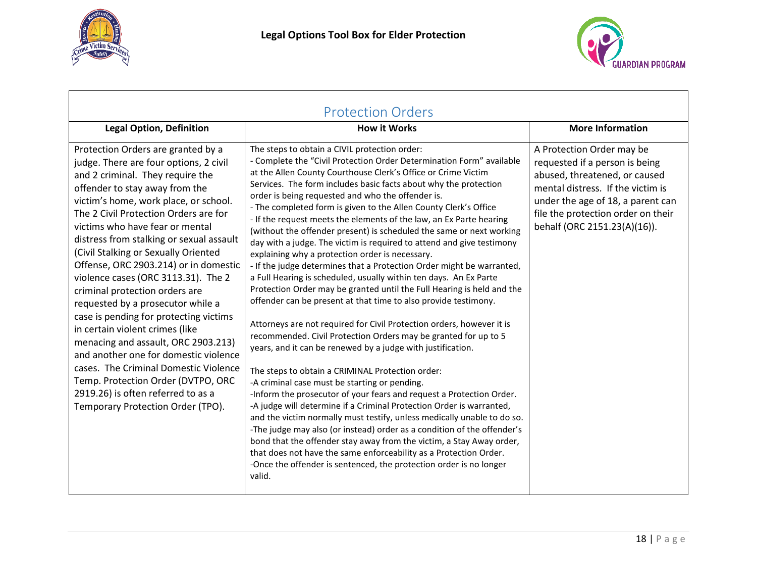



<span id="page-17-0"></span>

| <b>Protection Orders</b>                                                                                                                                                                                                                                                                                                                                                                                                                                                                                                                                                                                                                                                                                                                                                                                                                  |                                                                                                                                                                                                                                                                                                                                                                                                                                                                                                                                                                                                                                                                                                                                                                                                                                                                                                                                                                                                                                                                                                                                                                                                                                                                                                                                                                                                                                                                                                                                                                                                                                                                                                                                                                                                              |                                                                                                                                                                                                                                              |  |  |
|-------------------------------------------------------------------------------------------------------------------------------------------------------------------------------------------------------------------------------------------------------------------------------------------------------------------------------------------------------------------------------------------------------------------------------------------------------------------------------------------------------------------------------------------------------------------------------------------------------------------------------------------------------------------------------------------------------------------------------------------------------------------------------------------------------------------------------------------|--------------------------------------------------------------------------------------------------------------------------------------------------------------------------------------------------------------------------------------------------------------------------------------------------------------------------------------------------------------------------------------------------------------------------------------------------------------------------------------------------------------------------------------------------------------------------------------------------------------------------------------------------------------------------------------------------------------------------------------------------------------------------------------------------------------------------------------------------------------------------------------------------------------------------------------------------------------------------------------------------------------------------------------------------------------------------------------------------------------------------------------------------------------------------------------------------------------------------------------------------------------------------------------------------------------------------------------------------------------------------------------------------------------------------------------------------------------------------------------------------------------------------------------------------------------------------------------------------------------------------------------------------------------------------------------------------------------------------------------------------------------------------------------------------------------|----------------------------------------------------------------------------------------------------------------------------------------------------------------------------------------------------------------------------------------------|--|--|
| <b>Legal Option, Definition</b>                                                                                                                                                                                                                                                                                                                                                                                                                                                                                                                                                                                                                                                                                                                                                                                                           | <b>How it Works</b>                                                                                                                                                                                                                                                                                                                                                                                                                                                                                                                                                                                                                                                                                                                                                                                                                                                                                                                                                                                                                                                                                                                                                                                                                                                                                                                                                                                                                                                                                                                                                                                                                                                                                                                                                                                          | <b>More Information</b>                                                                                                                                                                                                                      |  |  |
| Protection Orders are granted by a<br>judge. There are four options, 2 civil<br>and 2 criminal. They require the<br>offender to stay away from the<br>victim's home, work place, or school.<br>The 2 Civil Protection Orders are for<br>victims who have fear or mental<br>distress from stalking or sexual assault<br>(Civil Stalking or Sexually Oriented<br>Offense, ORC 2903.214) or in domestic<br>violence cases (ORC 3113.31). The 2<br>criminal protection orders are<br>requested by a prosecutor while a<br>case is pending for protecting victims<br>in certain violent crimes (like<br>menacing and assault, ORC 2903.213)<br>and another one for domestic violence<br>cases. The Criminal Domestic Violence<br>Temp. Protection Order (DVTPO, ORC<br>2919.26) is often referred to as a<br>Temporary Protection Order (TPO). | The steps to obtain a CIVIL protection order:<br>- Complete the "Civil Protection Order Determination Form" available<br>at the Allen County Courthouse Clerk's Office or Crime Victim<br>Services. The form includes basic facts about why the protection<br>order is being requested and who the offender is.<br>- The completed form is given to the Allen County Clerk's Office<br>- If the request meets the elements of the law, an Ex Parte hearing<br>(without the offender present) is scheduled the same or next working<br>day with a judge. The victim is required to attend and give testimony<br>explaining why a protection order is necessary.<br>- If the judge determines that a Protection Order might be warranted,<br>a Full Hearing is scheduled, usually within ten days. An Ex Parte<br>Protection Order may be granted until the Full Hearing is held and the<br>offender can be present at that time to also provide testimony.<br>Attorneys are not required for Civil Protection orders, however it is<br>recommended. Civil Protection Orders may be granted for up to 5<br>years, and it can be renewed by a judge with justification.<br>The steps to obtain a CRIMINAL Protection order:<br>-A criminal case must be starting or pending.<br>-Inform the prosecutor of your fears and request a Protection Order.<br>-A judge will determine if a Criminal Protection Order is warranted,<br>and the victim normally must testify, unless medically unable to do so.<br>-The judge may also (or instead) order as a condition of the offender's<br>bond that the offender stay away from the victim, a Stay Away order,<br>that does not have the same enforceability as a Protection Order.<br>-Once the offender is sentenced, the protection order is no longer<br>valid. | A Protection Order may be<br>requested if a person is being<br>abused, threatened, or caused<br>mental distress. If the victim is<br>under the age of 18, a parent can<br>file the protection order on their<br>behalf (ORC 2151.23(A)(16)). |  |  |